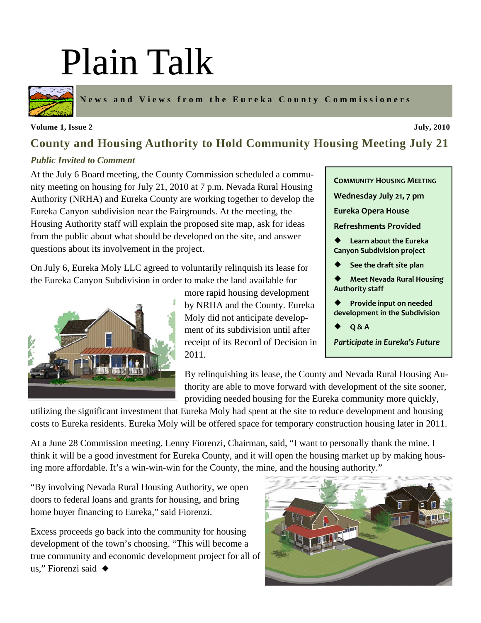# Plain Talk



**News and Views from the Eureka County Commissioners** 

#### **Volume 1, Issue 2** July, 2010

### **County and Housing Authority to Hold Community Housing Meeting July 21**

#### *Public Invited to Comment*

At the July 6 Board meeting, the County Commission scheduled a community meeting on housing for July 21, 2010 at 7 p.m. Nevada Rural Housing Authority (NRHA) and Eureka County are working together to develop the Eureka Canyon subdivision near the Fairgrounds. At the meeting, the Housing Authority staff will explain the proposed site map, ask for ideas from the public about what should be developed on the site, and answer questions about its involvement in the project.

On July 6, Eureka Moly LLC agreed to voluntarily relinquish its lease for the Eureka Canyon Subdivision in order to make the land available for



more rapid housing development by NRHA and the County. Eureka Moly did not anticipate development of its subdivision until after receipt of its Record of Decision in 2011.

**COMMUNITY HOUSING MEETING Wednesday July 21, 7 pm Eureka Opera House Refreshments Provided** ¡ **Learn about the Eureka Canyon Subdivision project** ¡ **See the draft site plan** ¡ **Meet Nevada Rural Housing Authority staff** ¡ **Provide input on needed development in the Subdivision** ¡ **Q & A**

*Participate in Eureka's Future*

By relinquishing its lease, the County and Nevada Rural Housing Authority are able to move forward with development of the site sooner, providing needed housing for the Eureka community more quickly,

utilizing the significant investment that Eureka Moly had spent at the site to reduce development and housing costs to Eureka residents. Eureka Moly will be offered space for temporary construction housing later in 2011.

At a June 28 Commission meeting, Lenny Fiorenzi, Chairman, said, "I want to personally thank the mine. I think it will be a good investment for Eureka County, and it will open the housing market up by making housing more affordable. It's a win-win-win for the County, the mine, and the housing authority."

"By involving Nevada Rural Housing Authority, we open doors to federal loans and grants for housing, and bring home buyer financing to Eureka," said Fiorenzi.

Excess proceeds go back into the community for housing development of the town's choosing. "This will become a true community and economic development project for all of us," Fiorenzi said  $\triangleleft$ 

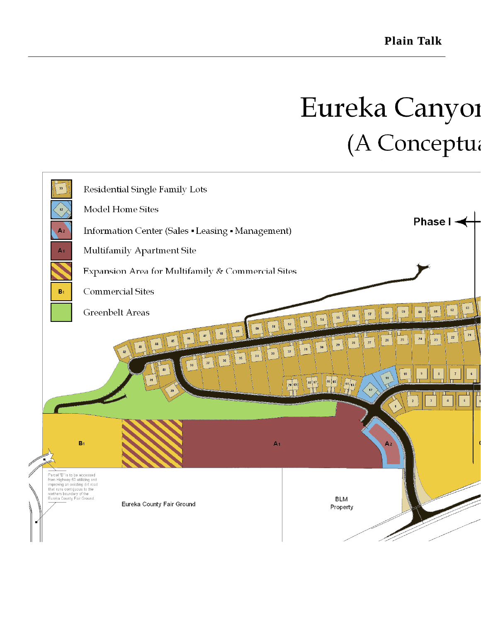### Eureka Canyoi (A Conceptua

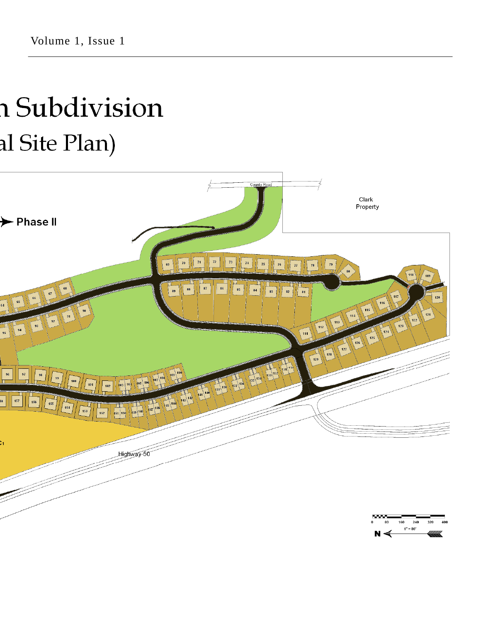## n Subdivision al Site Plan)